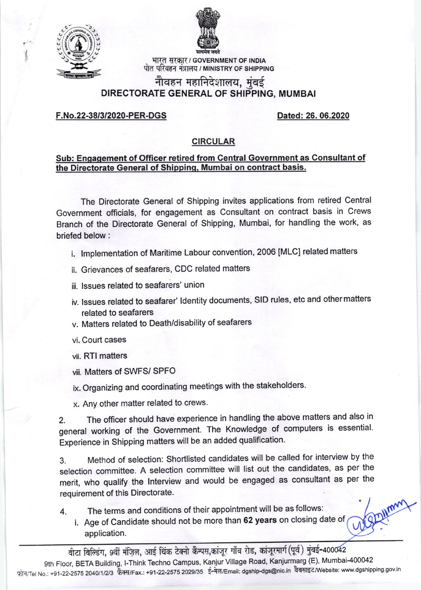

I



भारत सरकार / GOVERNMENT OF INDIA पोत परिवहन मंत्रालय / MINISTRY OF SHIPPING

# नौवहन महानिदेशालय, मुंबई DIRECTORATE GENERAL OF SHIPPING, MUMBAI

# F.No.22-38131 2020-PER-DGS Dated: 26. 06.2020

# CIRCULAR

# Sub: Engagement of Officer retired from Central Government as Consultant of the Directorate General of Shippinq. Mumbai on contract basis.

The Directorate General of Shipping invites applications from retired Central Government officials, for engagement as Consultant on contract basis in Crews Branch of the Directorate General of shipping, Mumbai, for handling the work, as briefed below :

- i. lmplementation of Maritime Labour convention, 2006 [MLC] related matters
- ii. Grievances of seafarers, CDC related matters
- iii. lssues related to seafarers' union
- iv. lssues related to seafarer' ldentity documents, slD rules, etc and other matters related to seafarers
- v. Matters related to Death/disability of seafarers
- vi. Court cases
- vii. RTI matters
- viii. Matters of SWFS/ SPFO
- ix. Organizing and coordinating meetings with the stakeholders.
- x, Any other matter related to crews.

2. The officer should have experience in handling the above matters and also in general working of the Government. The Knowledge of computers is essential. Experience in Shipping matters will be an added qualification.

3. Method of selection: Shortlisted candidates will be called for interview by the selection committee. A selection committee will list out the candidates, as per the merit, who qualify the lnterview and would be engaged as consultant as per the requirement of this Directorate.

- 4. The terms and conditions of their appointment will be as follows:
	- i. Age of Candidate should not be more than 62 years on closing date of application.

वीटा बिल्डिंग, 9वीं मंज़िल, आई थिंक टेक्नो कैम्पस,कांजूर गाँव रोड, कांजूरमार्ग(पूर्व) मुंबई-400042 9th Floor, BETA Building, I-Think Techno Campus, Kanjur Village Road, Kanjurmarg (E), Mumbai-400042 फोन/Tel No.: +91-22-2575 2040/1/2/3 फेक्स/Fax.: +91-22-2575 2029/35 ई-मेल/Email: dgship-dgs@nic.in वैबसाइट/Website: www.dgshipping.gov.in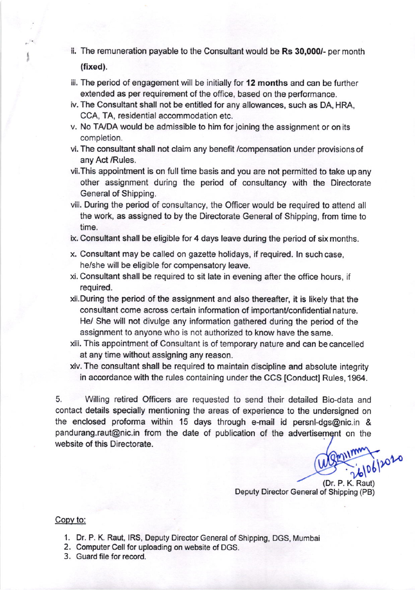ii. The remuneration payable to the Consultant would be Rs 30,000/- per month (fixed).

,

- iii. The period of engagement will be initially for 12 months and can be further extended as per requirement of the office, based on the performance.
- iv. The Consultant shall not be entitled for any allowances, such as DA, HRA, CCA, TA, residential accommodation etc.
- v. No TA,/DA would be admissible to him for joining the assignment or on its completion.
- vi. The consultant shall not claim any benefit /compensation under provisions of any Act /Rules.
- vii.This appointment is on full time basis and you are not permitted to take up any other assignment during the period of consultancy with the Directorate General of Shipping.
- viii. During the period of consultancy, the Officer would be required to attend all the work, as assigned to by the Directorate General of Shipping, from time to time.
- ix. Consultant shall be eligible for 4 days leave during the period of six months.
- x. Consultant may be called on gazette holidays, if required. ln such case, he/she will be eligible for compensatory leave.
- xi. Consultant shall be required to sit late in evening after the office hours, if required.
- xii.During the period of the assignment and also thereafter, it is likely that the consultant come across certain information of important/confidential nature. He/ She will not divulge any information gathered during the period of the assignment to anyone who is not authorized to know have the same.
- xiii. This appointment of Consultant is of temporary nature and can be cancelled at any time without assigning any reason.
- xiv. The consultant shall be required to maintain discipline and absolute integrity in accordance with the rules containing under the CCS [Conduct] Rules, 1964.

5. Wlling retired Officers are requested to send their detailed Bio-data and contact details specially mentioning the areas of experience to the undersigned on the enclosed proforma within 15 days through e-mail id persnl-dgs@nic.in & pandurang.raut@nic.in from the date of publication of the advertisement on the website of this Directorate.

 $10612020$ 

(Dr. P. K. Raut) Deputy Director General of Shipping (PB)

## Copy to:

- 1. Dr. P. K. Raut, IRS, Deputy Director General of Shipping, DGS, Mumbai
- 2. Computer Cell for uploading on website of DGS.
- 3. Guard file for record.